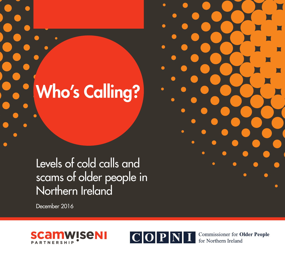Who's Calling?

Levels of cold calls and scams of older people in Northern Ireland

December 2016





**Commissioner for Older People** for Northern Ireland

Cold Calling and Scams Report Who's Calling?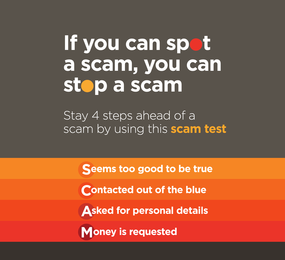# If you can spot a scam, you can stop a scam

Stay 4 steps ahead of a scam by using this scam test

Seems too good to be true

**Contacted out of the blue** 

**Asked for personal details** 

**Money is requested**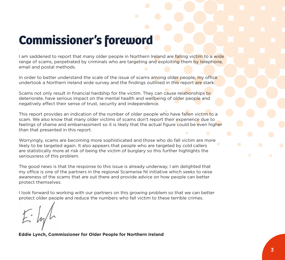## **Commissioner's foreword**

I am saddened to report that many older people in Northern Ireland are falling victim to a wide range of scams, perpetrated by criminals who are targeting and exploiting them by telephone. email and postal methods.

In order to better understand the scale of the issue of scams among older people, my office undertook a Northern Ireland wide survey and the findings outlined in this report are stark.

Scams not only result in financial hardship for the victim. They can cause relationships to deteriorate, have serious impact on the mental health and wellbeing of older people and negatively effect their sense of trust, security and independence.

This report provides an indication of the number of older people who have fallen victim to a scam. We also know that many older victims of scams don't report their experience due to feelings of shame and embarrassment so it is likely that the actual figure could be even higher than that presented in this report.

Worryingly, scams are becoming more sophisticated and those who do fall victim are more likely to be targeted again. It also appears that people who are targeted by cold callers are statistically more at risk of being the victim of burglary so this further highlights the seriousness of this problem.

The good news is that the response to this issue is already underway. I am delighted that my office is one of the partners in the regional Scamwise NI initiative which seeks to raise awareness of the scams that are out there and provide advice on how people can better protect themselves.

I look forward to working with our partners on this growing problem so that we can better protect older people and reduce the numbers who fall victim to these terrible crimes.

**Eddie Lynch, Commissioner for Older People for Northern Ireland**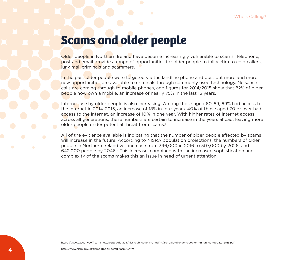### **Scams and older people**

Older people in Northern Ireland have become increasingly vulnerable to scams. Telephone, post and email provide a range of opportunities for older people to fall victim to cold callers, junk mail criminals and scammers.

In the past older people were targeted via the landline phone and post but more and more new opportunities are available to criminals through commonly used technology. Nuisance calls are coming through to mobile phones, and figures for 2014/2015 show that 82% of older people now own a mobile, an increase of nearly 75% in the last 15 years.

Internet use by older people is also increasing. Among those aged 60-69, 69% had access to the internet in 2014-2015, an increase of 18% in four years. 40% of those aged 70 or over had access to the internet, an increase of 10% in one year. With higher rates of internet access across all generations, these numbers are certain to increase in the years ahead, leaving more older people under potential threat from scams.<sup>1</sup>

All of the evidence available is indicating that the number of older people affected by scams will increase in the future. According to NISRA population projections, the numbers of older people in Northern Ireland will increase from 396,000 in 2016 to 507,000 by 2026, and 642,000 people by 2046.2 This increase, combined with the increased sophistication and complexity of the scams makes this an issue in need of urgent attention.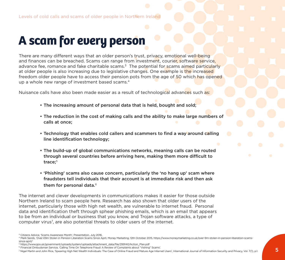## **A scam for every person**

There are many different ways that an older person's trust, privacy, emotional well-being and finances can be breached. Scams can range from investment, courier, software service, advance fee, romance and fake charitable scams. $3\text{ The potential for scans aimed particularly}$ at older people is also increasing due to legislative changes. One example is the increased freedom older people have to access their pension pots from the age of 50 which has opened up a whole new range of investment based scams.4

Nuisance calls have also been made easier as a result of technological advances such as:

- The increasing amount of personal data that is held, bought and sold;
- The reduction in the cost of making calls and the ability to make large numbers of calls at once;
- Technology that enables cold callers and scammers to find a way around calling line identification technology;
- The build-up of global communications networks, meaning calls can be routed through several countries before arriving here, making them more difficult to trace:<sup>5</sup>
- 'Phishing' scams also cause concern, particularly the 'no hang up' scam where fraudsters tell individuals that their account is at immediate risk and then ask them for personal data.<sup>6</sup>

The internet and clever developments in communications makes it easier for those outside Northern Ireland to scam people here. Research has also shown that older users of the internet, particularly those with high net wealth, are vulnerable to internet fraud. Personal data and identification theft through sphear phishing emails, which is an email that appears to be from an individual or business that you know, and Trojan software attacks, a type of computer virus<sup>7</sup>, are also potential threats to older users of the internet.

<sup>7</sup> Nigel Martin and John Rice, 'Spearing High Net Wealth Individuals: The Case of Online Fraud and Mature Age Internet Users', International Journal of Information Security and Privacy, Vol. 7(1), p.1.

<sup>&</sup>lt;sup>3</sup> Citizens Advice, 'Scams Awareness Month', Presentation, July 2016.

<sup>4</sup> Mark Sands, 'Over £9m Stolen in Pension Liberation Scams Since April, Money Marketing, 12th October 2015, https://www.moneymarketing.co.uk/over-9m-stolen-in-pension-liberation-scamssince-april/

<sup>5</sup> https://www.gov.uk/government/uploads/system/uploads/attachment\_data/file/299140/Action\_Plan.pdf

<sup>6</sup> Financial Ombudsman Service, 'Calling Time On Telephone Fraud: A Review of Complaints about "Vishing" Scams'.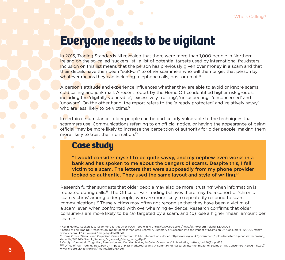### **Everyone needs to be vigilant**

In 2015, Trading Standards NI revealed that there were more than 1,000 people in Northern Ireland on the so-called 'suckers list', a list of potential targets used by international fraudsters. Inclusion on this list means that the person has previously given over money in a scam and that their details have then been "sold-on" to other scammers who will then target that person by whatever means they can including telephone calls, post or email.<sup>8</sup>

A person's attitude and experience influences whether they are able to avoid or ignore scams. cold calling and junk mail. A recent report by the Home Office identified higher risk groups, including the 'digitally vulnerable', 'excessively trusting', 'unsuspecting', 'unconcerned' and 'unaware'. On the other hand, the report refers to the 'already protected' and 'relatively savvy' who are less likely to be victims.<sup>9</sup>

In certain circumstances older people can be particularly vulnerable to the techniques that scammers use. Communications referring to an official notice, or having the appearance of being official, may be more likely to increase the perception of authority for older people, making them more likely to trust the information.10

### **Case study**

"I would consider myself to be quite savvy, and my nephew even works in a bank and has spoken to me about the dangers of scams. Despite this, I fell victim to a scam. The letters that were supposedly from my phone provider looked so authentic. They used the same layout and style of writing."

Research further suggests that older people may also be more 'trusting' when information is repeated during calls.<sup>11</sup> The Office of Fair Trading believes there may be a cohort of 'chronic scam victims' among older people, who are more likely to repeatedly respond to scam communications.12 These victims may often not recognise that they have been a victim of a scam, even when confronted with overwhelming evidence. Research confirms that older consumers are more likely to be (a) targeted by a scam, and (b) lose a higher 'mean' amount per scam.13

<sup>8</sup> Kevin Magee, 'Suckers List: Scammers Target Over 1,000 People in NI', http://www.bbc.co.uk/news/uk-northern-ireland-32705024

<sup>9</sup> Office of Fair Trading, 'Research on Impact of Mass Marketed Scams: A Summary of Research Into the Impact of Scams on UK Consumers', (2006), http:// www.icfs.org.uk/~icfs.org.uk/images/pdfs/60.pdf

<sup>10</sup> Home Office, 'Serious and Organised Crime Protection: Public Interventions Model', https://www.gov.uk/government/uploads/system/uploads/attachment\_ data/file/502960/Gov.uk\_Serious\_Organised\_Crime\_deck\_vF.pdf

<sup>11</sup> Carolyn Yoon et al., 'Cognition, Persuasion and Decision Making in Older Consumers', in Marketing Letters, Vol. 16(3), p. 435.

<sup>&</sup>lt;sup>1213</sup> Office of Fair Trading, 'Research on Impact of Mass Marketed Scams: A Summary of Research Into the Impact of Scams on UK Consumers', (2006), http:// www.icfs.org.uk/~icfs.org.uk/images/pdfs/60.pdf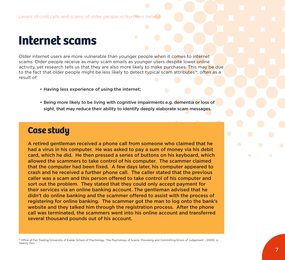### **Internet scams**

Older internet users are more vulnerable than younger people when it comes to internet scams. Older people receive as many scam emails as younger users despite lower online activity, yet research tells us that they are also more likely to make purchases. This may be due to the fact that older people might be less likely to detect typical scam attributes<sup>14</sup>, often as a result of:

- Having less experience of using the internet;
- Being more likely to be living with cognitive impairments e.g. dementia or loss of sight, that may reduce their ability to identify deeply elaborate scam messages.

### **Case study**

A retired gentleman received a phone call from someone who claimed that he had a virus in his computer. He was asked to pay a sum of money via his debit card, which he did. He then pressed a series of buttons on his keyboard, which allowed the scammers to take control of his computer. The scammer claimed that the computer had been fixed. A few days later, his computer appeared to crash and he received a further phone call. The caller stated that the previous caller was a scam and this person offered to take control of his computer and sort out the problem. They stated that they could only accept payment for their services via an online banking account. The gentleman advised that he didn't do online banking and the scammer offered to assist with the process of registering for online banking. The scammer got the man to log onto the bank's website and they talked him through the registration process. After the phone call was terminated, the scammers went into his online account and transferred several thousand pounds out of his account.

<sup>14</sup> Office of Fair Trading/University of Exeter School of Psychology, 'The Psychology of Scams: Provoking and Committing Errors of Judgement', (2009), p. Twenty Two.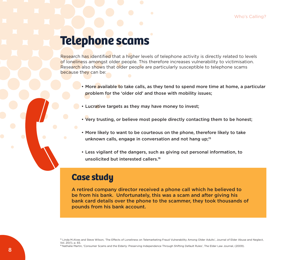### **Telephone scams**

Research has identified that a higher levels of telephone activity is directly related to levels of loneliness amongst older people. This therefore increases vulnerability to victimisation. Research also shows that older people are particularly susceptible to telephone scams because they can be:

- More available to take calls, as they tend to spend more time at home, a particular problem for the 'older old' and those with mobility issues;
- Lucrative targets as they may have money to invest;
- Very trusting, or believe most people directly contacting them to be honest;
- More likely to want to be courteous on the phone, therefore likely to take unknown calls, engage in conversation and not hang up;<sup>15</sup>
- Less vigilant of the dangers, such as giving out personal information, to unsolicited but interested callers.<sup>16</sup>

### **Case study**

A retired company director received a phone call which he believed to be from his bank. Unfortunately, this was a scam and after giving his bank card details over the phone to the scammer, they took thousands of pounds from his bank account.

<sup>15</sup> Linda M.Alves and Steve Wilson, 'The Effects of Loneliness on Telemarketing Fraud Vulnerability Among Older Adults', Journal of Elder Abuse and Neglect, Vol. 20(1), p. 65.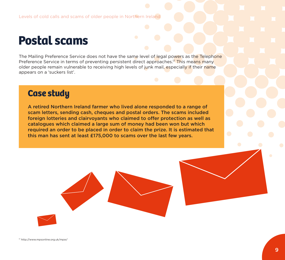### **Postal scams**

The Mailing Preference Service does not have the same level of legal powers as the Telephone Preference Service in terms of preventing persistent direct approaches.<sup>17</sup> This means many older people remain vulnerable to receiving high levels of junk mail, especially if their name appears on a 'suckers list'.

### **Case study**

A retired Northern Ireland farmer who lived alone responded to a range of scam letters, sending cash, cheques and postal orders. The scams included foreign lotteries and clairvoyants who claimed to offer protection as well as catalogues which claimed a large sum of money had been won but which required an order to be placed in order to claim the prize. It is estimated that this man has sent at least £175,000 to scams over the last few years.

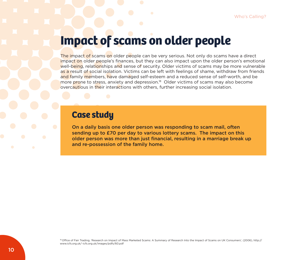### **Impact of scams on older people**

The impact of scams on older people can be very serious. Not only do scams have a direct impact on older people's finances, but they can also impact upon the older person's emotional well-being, relationships and sense of security. Older victims of scams may be more vulnerable as a result of social isolation. Victims can be left with feelings of shame, withdraw from friends and family members, have damaged self-esteem and a reduced sense of self-worth, and be more prone to stress, anxiety and depression.<sup>18</sup> Older victims of scams may also become overcautious in their interactions with others, further increasing social isolation.

### **Case study**

On a daily basis one older person was responding to scam mail, often sending up to £70 per day to various lottery scams. The impact on this older person was more than just financial, resulting in a marriage break up and re-possession of the family home.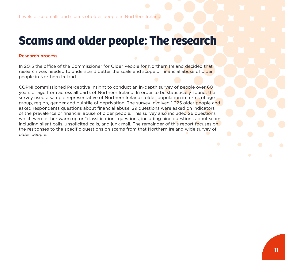### **Scams and older people: The research**

#### **Research process**

In 2015 the office of the Commissioner for Older People for Northern Ireland decided that research was needed to understand better the scale and scope of financial abuse of older people in Northern Ireland.

COPNI commissioned Perceptive Insight to conduct an in-depth survey of people over 60 years of age from across all parts of Northern Ireland. In order to be statistically sound, the survey used a sample representative of Northern Ireland's older population in terms of age group, region, gender and quintile of deprivation. The survey involved 1,025 older people and asked respondents questions about financial abuse. 29 questions were asked on indicators of the prevalence of financial abuse of older people. This survey also included 26 questions which were either warm up or "classification" questions, including nine questions about scams including silent calls, unsolicited calls, and junk mail. The remainder of this report focuses on the responses to the specific questions on scams from that Northern Ireland wide survey of older people.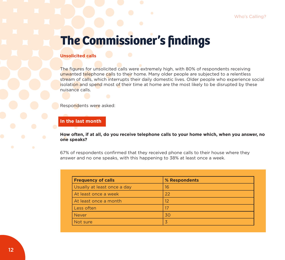#### **Unsolicited calls**

The figures for unsolicited calls were extremely high, with 80% of respondents receiving unwanted telephone calls to their home. Many older people are subjected to a relentless stream of calls, which interrupts their daily domestic lives. Older people who experience social isolation and spend most of their time at home are the most likely to be disrupted by these nuisance calls.

Respondents were asked:

#### **In the last month**

**How often, if at all, do you receive telephone calls to your home which, when you answer, no one speaks?** 

67% of respondents confirmed that they received phone calls to their house where they answer and no one speaks, with this happening to 38% at least once a week.

| <b>Frequency of calls</b>   | % Respondents |  |
|-----------------------------|---------------|--|
| Usually at least once a day | 16            |  |
| At least once a week        | 22            |  |
| At least once a month       | 12            |  |
| Less often                  |               |  |
| <b>Never</b>                | 30            |  |
| Not sure                    |               |  |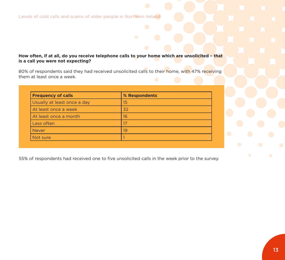#### **How often, if at all, do you receive telephone calls to your home which are unsolicited – that is a call you were not expecting?**

80% of respondents said they had received unsolicited calls to their home, with 47% receiving them at least once a week.

| <b>Frequency of calls</b>   | % Respondents |
|-----------------------------|---------------|
| Usually at least once a day | 15            |
| At least once a week        | 32            |
| At least once a month       | 16            |
| Less often                  |               |
| <b>Never</b>                | 19            |
| Not sure                    |               |

55% of respondents had received one to five unsolicited calls in the week prior to the survey.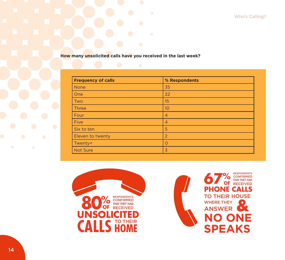Who's Calling?

**How many unsolicited calls have you received in the last week?**

| <b>Frequency of calls</b> | % Respondents  |
|---------------------------|----------------|
| <b>None</b>               | 35             |
| One                       | 22             |
| Two                       | 15             |
| Three                     | 10             |
| Four                      | $\overline{4}$ |
| Five                      | $\overline{4}$ |
| Six to ten                | 5              |
| Eleven to twenty          | $\overline{2}$ |
| Twenty+                   | $\circ$        |
| Not Sure                  | $\overline{3}$ |

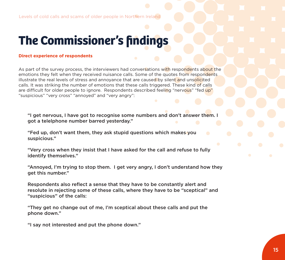#### **Direct experience of respondents**

As part of the survey process, the interviewers had conversations with respondents about the emotions they felt when they received nuisance calls. Some of the quotes from respondents illustrate the real levels of stress and annoyance that are caused by silent and unsolicited calls. It was striking the number of emotions that these calls triggered. These kind of calls are difficult for older people to ignore. Respondents described feeling "nervous" "fed up" "suspicious" "very cross" "annoyed" and "very angry":

"I get nervous, I have got to recognise some numbers and don't answer them. I got a telelphone number barred yesterday."

"Fed up, don't want them, they ask stupid questions which makes you suspicious."

"Very cross when they insist that I have asked for the call and refuse to fully identify themselves."

"Annoyed, I'm trying to stop them. I get very angry, I don't understand how they get this number."

Respondents also reflect a sense that they have to be constantly alert and resolute in rejecting some of these calls, where they have to be "sceptical" and "suspicious" of the calls:

"They get no change out of me, I'm sceptical about these calls and put the phone down."

"I say not interested and put the phone down."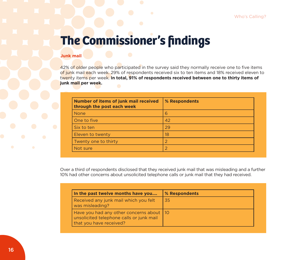#### **Junk mail**

42% of older people who participated in the survey said they normally receive one to five items of junk mail each week. 29% of respondents received six to ten items and 18% received eleven to twenty items per week. **In total, 91% of respondents received between one to thirty items of junk mail per week.**

| Number of items of junk mail received<br>through the post each week | % Respondents |
|---------------------------------------------------------------------|---------------|
| <b>None</b>                                                         | 6             |
| One to five                                                         | 42            |
| Six to ten                                                          | 29            |
| Eleven to twenty                                                    | 18            |
| Twenty one to thirty                                                |               |
| Not sure                                                            |               |

Over a third of respondents disclosed that they received junk mail that was misleading and a further 10% had other concerns about unsolicited telephone calls or junk mail that they had received.

| In the past twelve months have you                                                                                | % Respondents |
|-------------------------------------------------------------------------------------------------------------------|---------------|
| Received any junk mail which you felt<br>was misleading?                                                          | 35            |
| Have you had any other concerns about   10<br>unsolicited telephone calls or junk mail<br>that you have received? |               |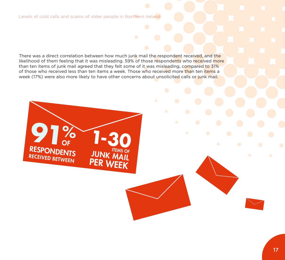Levels of cold calls and scams of older people in Northern Ireland

**91%**

OF

RESPONDENTS RECEIVED BETWEEN

There was a direct correlation between how much junk mail the respondent received, and the likelihood of them feeling that it was misleading. 59% of those respondents who received more than ten items of junk mail agreed that they felt some of it was misleading, compared to 31% of those who received less than ten items a week. Those who received more than ten items a week (17%) were also more likely to have other concerns about unsolicited calls or junk mail.

**JUNK MAIL** 

PER WEEK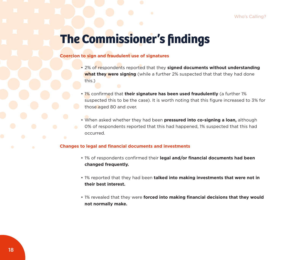#### **Coercion to sign and fraudulent use of signatures**

- 2% of respondents reported that they **signed documents without understanding what they were signing** (while a further 2% suspected that that they had done this.)
- 1% confirmed that **their signature has been used fraudulently** (a further 1% suspected this to be the case). It is worth noting that this figure increased to 3% for those aged 80 and over.
- When asked whether they had been **pressured into co-signing a loan,** although 0% of respondents reported that this had happened, 1% suspected that this had occurred.

#### **Changes to legal and financial documents and investments**

- 1% of respondents confirmed their **legal and/or financial documents had been changed frequently.**
- 1% reported that they had been **talked into making investments that were not in their best interest.**
- 1% revealed that they were **forced into making financial decisions that they would not normally make.**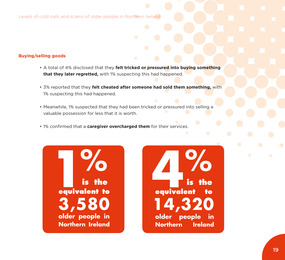Levels of cold calls and scams of older people in Northern Ireland

#### **Buying/selling goods**

- A total of 4% disclosed that they **felt tricked or pressured into buying something that they later regretted,** with 1% suspecting this had happened.
- 3% reported that they **felt cheated after someone had sold them something,** with 1% suspecting this had happened.
- Meanwhile, 1% suspected that they had been tricked or pressured into selling a valuable possession for less that it is worth.
- 1% confirmed that a **caregiver overcharged them** for their services.



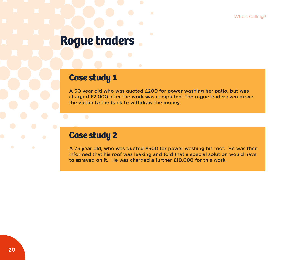Who's Calling?

### **Rogue traders**

### **Case study 1**

A 90 year old who was quoted £200 for power washing her patio, but was charged £2,000 after the work was completed. The rogue trader even drove the victim to the bank to withdraw the money.

### **Case study 2**

A 75 year old, who was quoted £500 for power washing his roof. He was then informed that his roof was leaking and told that a special solution would have to sprayed on it. He was charged a further £10,000 for this work.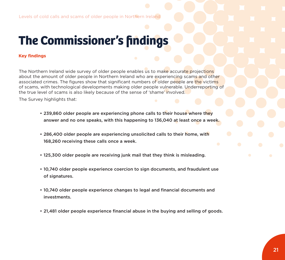#### **Key findings**

The Northern Ireland wide survey of older people enables us to make accurate projections about the amount of older people in Northern Ireland who are experiencing scams and other associated crimes. The figures show that significant numbers of older people are the victims of scams, with technological developments making older people vulnerable. Underreporting of the true level of scams is also likely because of the sense of 'shame' involved.

The Survey highlights that:

- 239,860 older people are experiencing phone calls to their house where they answer and no one speaks, with this happening to 136,040 at least once a week.
- 286,400 older people are experiencing unsolicited calls to their home, with 168,260 receiving these calls once a week.
- 125,300 older people are receiving junk mail that they think is misleading.
- 10,740 older people experience coercion to sign documents, and fraudulent use of signatures.
- 10,740 older people experience changes to legal and financial documents and investments.
- 21,481 older people experience financial abuse in the buying and selling of goods.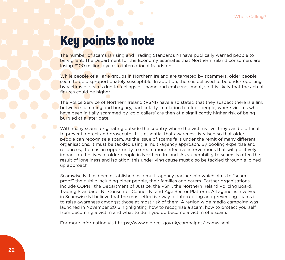## **Key points to note**

The number of scams is rising and Trading Standards NI have publically warned people to be vigilant. The Department for the Economy estimates that Northern Ireland consumers are losing £100 million a year to international fraudsters.

While people of all age groups in Northern Ireland are targeted by scammers, older people seem to be disproportionately susceptible. In addition, there is believed to be underreporting by victims of scams due to feelings of shame and embarrassment, so it is likely that the actual figures could be higher.

The Police Service of Northern Ireland (PSNI) have also stated that they suspect there is a link between scamming and burglary, particularly in relation to older people, where victims who have been initially scammed by 'cold callers' are then at a significantly higher risk of being burgled at a later date.

With many scams originating outside the country where the victims live, they can be difficult to prevent, detect and prosecute. It is essential that awareness is raised so that older people can recognise a scam. As the issue of scams falls under the remit of many different organisations, it must be tackled using a multi-agency approach. By pooling expertise and resources, there is an opportunity to create more effective interventions that will positively impact on the lives of older people in Northern Ireland. As vulnerability to scams is often the result of loneliness and isolation, this underlying cause must also be tackled through a joinedup approach.

Scamwise NI has been established as a multi-agency partnership which aims to "scamproof" the public including older people, their families and carers. Partner organisations include COPNI, the Department of Justice, the PSNI, the Northern Ireland Policing Board, Trading Standards NI, Consumer Council NI and Age Sector Platform. All agencies involved in Scamwise NI believe that the most effective way of interrupting and preventing scams is to raise awareness amongst those at most risk of them. A region wide media campaign was launched in November 2016 highlighting how to recognise a scam, how to protect yourself from becoming a victim and what to do if you do become a victim of a scam.

For more information visit https://www.nidirect.gov.uk/campaigns/scamwiseni.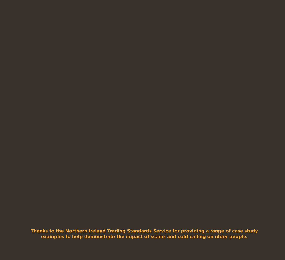**Thanks to the Northern Ireland Trading Standards Service for providing a range of case study examples to help demonstrate the impact of scams and cold calling on older people.**